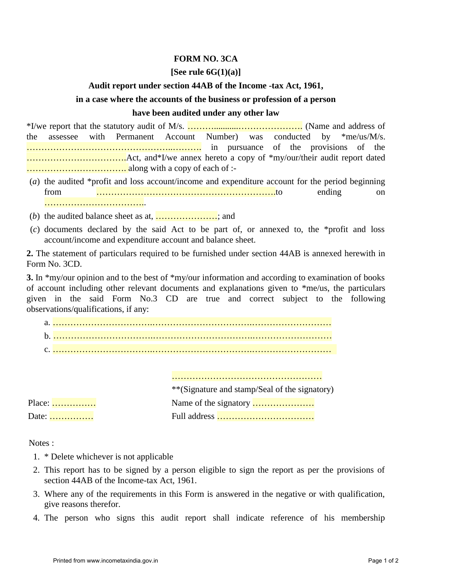## **FORM NO. 3CA**

### **[See rule 6G(1)(a)]**

#### **Audit report under section 44AB of the Income -tax Act, 1961,**

# **in a case where the accounts of the business or profession of a person**

#### **have been audited under any other law**

\*I/we report that the statutory audit of M/s. ………...........…………………. (Name and address of the assessee with Permanent Account Number) was conducted by \*me/us/M/s. …………………………………………..………. in pursuance of the provisions of the …………………………….Act, and\*I/we annex hereto a copy of \*my/our/their audit report dated ……………………………. along with a copy of each of :-

- (*a*) the audited \*profit and loss account/income and expenditure account for the period beginning from …………………………………………………….to ending on ……………………………..
- $(b)$  the audited balance sheet as at,  $\ldots$ ,  $\ldots$ ,  $\ldots$ , and
- (*c*) documents declared by the said Act to be part of, or annexed to, the \*profit and loss account/income and expenditure account and balance sheet.

**2.** The statement of particulars required to be furnished under section 44AB is annexed herewith in Form No. 3CD.

**3.** In \*my/our opinion and to the best of \*my/our information and according to examination of books of account including other relevant documents and explanations given to \*me/us, the particulars given in the said Form No.3 CD are true and correct subject to the following observations/qualifications, if any:

|        | **(Signature and stamp/Seal of the signatory) |
|--------|-----------------------------------------------|
| Place: |                                               |
| Date:  |                                               |

Notes :

- 1. \* Delete whichever is not applicable
- 2. This report has to be signed by a person eligible to sign the report as per the provisions of section 44AB of the Income-tax Act, 1961.
- 3. Where any of the requirements in this Form is answered in the negative or with qualification, give reasons therefor.
- 4. The person who signs this audit report shall indicate reference of his membership